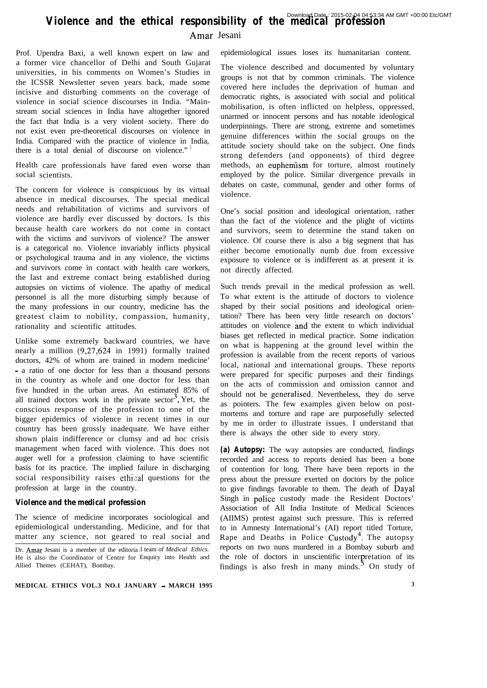# **Violence and the ethical responsibility of the medical profession**

Amar Jesani

Prof. Upendra Baxi, a well known expert on law and a former vice chancellor of Delhi and South Gujarat universities, in his comments on Women's Studies in the ICSSR Newsletter seven years back, made some incisive and disturbing comments on the coverage of violence in social science discourses in India. "Mainstream social sciences in India have altogether ignored the fact that India is a very violent society. There do not exist even pre-theoretical discourses on violence in India. Compared with the practice of violence in India, there is a total denial of discourse on violence."

Health care profession als have fared even worse than social scientists.

The concern for violence is conspicuous by its virtual absence in medical discourses. The special medical needs and rehabilitation of victims and survivors of violence are hardly ever discussed by doctors. Is this because health care workers do not come in contact with the victims and survivors of violence? The answer is a categorical no. Violence invariably inflicts physical or psychological trauma and in any violence, the victims and survivors come in contact with health care workers, the last and extreme contact being established during autopsies on victims of violence. The apathy of medical personnel is all the more disturbing simply because of the many professions in our country, medicine has the greatest claim to nobility, compassion, humanity, rationality and scientific attitudes.

Unlike some extremely backward countries, we have nearly a million (9,27,624 in 1991) formally trained doctors, 42% of whom are trained in modern medicine' - a ratio of one doctor for less than a thousand persons in the country as whole and one doctor for less than five hundred in the urban areas. An estimated 85% of all trained doctors work in the private  $sector^3$ . Yet, the conscious response of the profession to one of the bigger epidemics of violence in recent times in our country has been grossly inadequate. We have either shown plain indifference or clumsy and ad hoc crisis management when faced with violence. This does not auger well for a profession claiming to have scientific basis for its practice. The implied failure in discharging social responsibility raises ethical questions for the profession at large in the country.

## *Violence and the medical profession*

The science of medicine incorporates sociological and epidemiological understanding. Medicine, and for that matter any science, not geared to real social and

epidemiological issues loses its humanitarian content.

The violence described and documented by voluntary groups is not that by common criminals. The violence covered here includes the deprivation of human and democratic rights, is associated with social and political mobilisation, is often inflicted on helpless, oppressed, unarmed or innocent persons and has notable ideological underpinnings. There are strong, extreme and sometimes genuine differences within the social groups on the attitude society should take on the subject. One finds strong defenders (and opponents) of third degree methods, an euphemism for torture, almost routinely employed by the police. Similar divergence prevails in debates on caste, communal, gender and other forms of violence.

One's social position and ideological orientation, rather than the fact of the violence and the plight of victims and survivors, seem to determine the stand taken on violence. Of course there is also a big segment that has either become emotionally numb due from excessive exposure to violence or is indifferent as at present it is not directly affected.

Such trends prevail in the medical profession as well. To what extent is the attitude of doctors to violence shaped by their social positions and ideological orientation? There has been very little research on doctors' attitudes on violence and the extent to which individual biases get reflected in medical practice. Some indication on what is happening at the ground level within the profession is available from the recent reports of various local, national and international groups. These reports were prepared for specific purposes and their findings on the acts of commission and omission cannot and should not be generalised. Nevertheless, they do serve as pointers. The few examples given below on postmortems and torture and rape are purposefully selected by me in order to illustrate issues. I understand that there is always the other side to every story.

**(a) Autopsy:** The way autopsies are conducted, findings recorded and access to reports denied has been a bone of contention for long. There have been reports in the press about the pressure exerted on doctors by the police to give findings favorable to them. The death of Dayal Singh in police custody made the Resident Doctors' Association of All India Institute of Medical Sciences (AIIMS) protest against such pressure. This is referred to in Amnesty International's (AI) report titled Torture, Rape and Deaths in Police Custody<sup>4</sup>. The autopsy reports on two nuns murdered in a Bombay suburb and the role of doctors in unscientific interpretation of its findings is also fresh in many minds.<sup>5</sup> On study of

Dr. Amar Jesani is a member of the editoria .l team of *Medical Ethics.* He is also the Coordinator of Centre for Enquiry into Health and Allied Themes (CEHAT), Bombay.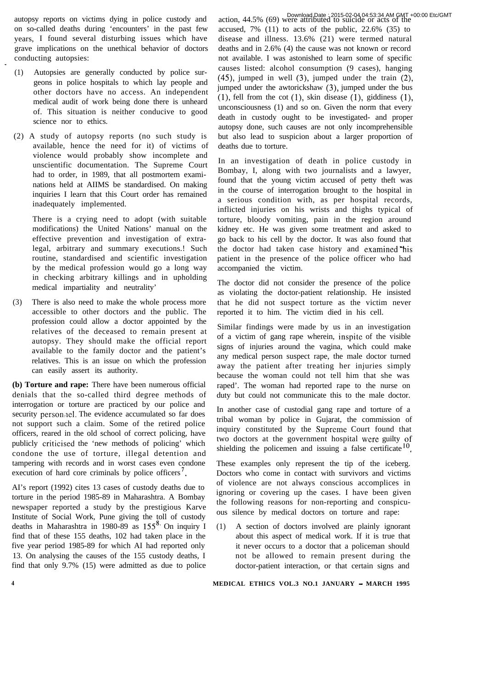autopsy reports on victims dying in police custody and on so-called deaths during 'encounters' in the past few years, I found several disturbing issues which have grave implications on the unethical behavior of doctors conducting autopsies:

- (1) Autopsies are generally conducted by police surgeons in police hospitals to which lay people and other doctors have no access. An independent medical audit of work being done there is unheard of. This situation is neither conducive to good science nor to ethics.
- (2) A study of autopsy reports (no such study is available, hence the need for it) of victims of violence would probably show incomplete and unscientific documentation. The Supreme Court had to order, in 1989, that all postmortem examinations held at AIIMS be standardised. On making inquiries I learn that this Court order has remained inadequately implemented.

There is a crying need to adopt (with suitable modifications) the United Nations' manual on the effective prevention and investigation of extralegal, arbitrary and summary executions.! Such routine, standardised and scientific investigation by the medical profession would go a long way in checking arbitrary killings and in upholding medical impartiality and neutrality'

(3) There is also need to make the whole process more accessible to other doctors and the public. The profession could allow a doctor appointed by the relatives of the deceased to remain present at autopsy. They should make the official report available to the family doctor and the patient's relatives. This is an issue on which the profession can easily assert its authority.

**(b) Torture and rape:** There have been numerous official denials that the so-called third degree methods of interrogation or torture are practiced by our police and security personnel. The evidence accumulated so far does not support such a claim. Some of the retired police officers, reared in the old school of correct policing, have publicly criticised the 'new methods of policing' which condone the use of torture, illegal detention and tampering with records and in worst cases even condone execution of hard core criminals by police officers<sup>7</sup>.

AI's report (1992) cites 13 cases of custody deaths due to torture in the period 1985-89 in Maharashtra. A Bombay newspaper reported a study by the prestigious Karve Institute of Social Work, Pune giving the toll of custody deaths in Maharashtra in 1980-89 as  $155^8$ . On inquiry I find that of these 155 deaths, 102 had taken place in the five year period 1985-89 for which AI had reported only 13. On analysing the causes of the 155 custody deaths, I find that only 9.7% (15) were admitted as due to police

action, 44.5% (69) were attributed to suicide or acts of the Download Date : 2015-02-04 04:53:34 AM GMT +00:00 Etc/GMTaccused,  $7\%$  (11) to acts of the public,  $22.6\%$  (35) to disease and illness. 13.6% (21) were termed natural deaths and in 2.6% (4) the cause was not known or record not available. I was astonished to learn some of specific causes listed: alcohol consumption (9 cases), hanging (45), jumped in well (3), jumped under the train (2), jumped under the awtorickshaw (3), jumped under the bus  $(1)$ , fell from the cot  $(1)$ , skin disease  $(1)$ , giddiness  $(1)$ , unconsciousness (1) and so on. Given the norm that every death in custody ought to be investigated- and proper autopsy done, such causes are not only incomprehensible but also lead to suspicion about a larger proportion of deaths due to torture.

In an investigation of death in police custody in Bombay, I, along with two journalists and a lawyer, found that the young victim accused of petty theft was in the course of interrogation brought to the hospital in a serious condition with, as per hospital records, inflicted injuries on his wrists and thighs typical of torture, bloody vomiting, pain in the region around kidney etc. He was given some treatment and asked to go back to his cell by the doctor. It was also found that the doctor had taken case history and examined'his patient in the presence of the police officer who had accompanied the victim.

The doctor did not consider the presence of the police as violating the doctor-patient relationship. He insisted that he did not suspect torture as the victim never reported it to him. The victim died in his cell.

Similar findings were made by us in an investigation of a victim of gang rape wherein, inspite of the visible signs of injuries around the vagina, which could make any medical person suspect rape, the male doctor turned away the patient after treating her injuries simply because the woman could not tell him that she was raped'. The woman had reported rape to the nurse on duty but could not communicate this to the male doctor.

In another case of custodial gang rape and torture of a tribal woman by police in Gujarat, the commission of inquiry constituted by the Supreme Court found that two doctors at the government hospital were guilty of shielding the policemen and issuing a false certificate  $10$ .

These examples only represent the tip of the iceberg. Doctors who come in contact with survivors and victims of violence are not always conscious accomplices in ignoring or covering up the cases. I have been given the following reasons for non-reporting and conspicuous silence by medical doctors on torture and rape:

(1) A section of doctors involved are plainly ignorant about this aspect of medical work. If it is true that it never occurs to a doctor that a policeman should not be allowed to remain present during the doctor-patient interaction, or that certain signs and

 $\ddot{\phantom{1}}$